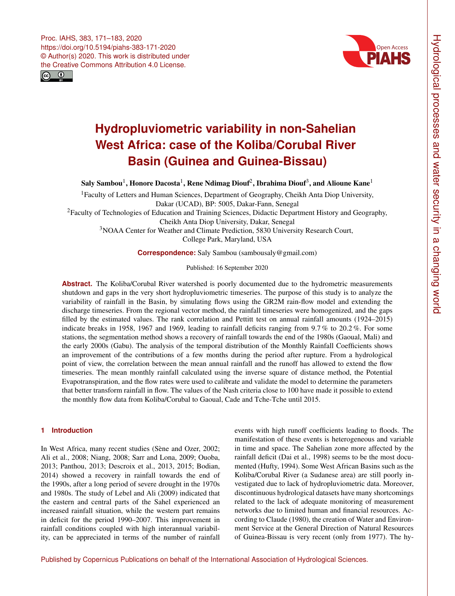



# **Hydropluviometric variability in non-Sahelian West Africa: case of the Koliba/Corubal River Basin (Guinea and Guinea-Bissau)**

Saly Sambou $^1$  $^1$ , Honore Dacosta $^1$ , Rene Ndimag Diouf $^2$  $^2$ , Ibrahima Diouf $^3$  $^3$ , and Alioune Kane $^1$ 

<sup>1</sup>Faculty of Letters and Human Sciences, Department of Geography, Cheikh Anta Diop University, Dakar (UCAD), BP: 5005, Dakar-Fann, Senegal

<sup>2</sup>Faculty of Technologies of Education and Training Sciences, Didactic Department History and Geography,

Cheikh Anta Diop University, Dakar, Senegal

<sup>3</sup>NOAA Center for Weather and Climate Prediction, 5830 University Research Court,

College Park, Maryland, USA

**Correspondence:** Saly Sambou (sambousaly@gmail.com)

Published: 16 September 2020

**Abstract.** The Koliba/Corubal River watershed is poorly documented due to the hydrometric measurements shutdown and gaps in the very short hydropluviometric timeseries. The purpose of this study is to analyze the variability of rainfall in the Basin, by simulating flows using the GR2M rain-flow model and extending the discharge timeseries. From the regional vector method, the rainfall timeseries were homogenized, and the gaps filled by the estimated values. The rank correlation and Pettitt test on annual rainfall amounts (1924–2015) indicate breaks in 1958, 1967 and 1969, leading to rainfall deficits ranging from 9.7% to 20.2%. For some stations, the segmentation method shows a recovery of rainfall towards the end of the 1980s (Gaoual, Mali) and the early 2000s (Gabu). The analysis of the temporal distribution of the Monthly Rainfall Coefficients shows an improvement of the contributions of a few months during the period after rupture. From a hydrological point of view, the correlation between the mean annual rainfall and the runoff has allowed to extend the flow timeseries. The mean monthly rainfall calculated using the inverse square of distance method, the Potential Evapotranspiration, and the flow rates were used to calibrate and validate the model to determine the parameters that better transform rainfall in flow. The values of the Nash criteria close to 100 have made it possible to extend the monthly flow data from Koliba/Corubal to Gaoual, Cade and Tche-Tche until 2015.

# <span id="page-0-0"></span>**1 Introduction**

In West Africa, many recent studies (Sène and Ozer, 2002; Ali et al., 2008; Niang, 2008; Sarr and Lona, 2009; Ouoba, 2013; Panthou, 2013; Descroix et al., 2013, 2015; Bodian, 2014) showed a recovery in rainfall towards the end of the 1990s, after a long period of severe drought in the 1970s and 1980s. The study of Lebel and Ali (2009) indicated that the eastern and central parts of the Sahel experienced an increased rainfall situation, while the western part remains in deficit for the period 1990–2007. This improvement in rainfall conditions coupled with high interannual variability, can be appreciated in terms of the number of rainfall events with high runoff coefficients leading to floods. The manifestation of these events is heterogeneous and variable in time and space. The Sahelian zone more affected by the rainfall deficit (Dai et al., 1998) seems to be the most documented (Hufty, 1994). Some West African Basins such as the Koliba/Corubal River (a Sudanese area) are still poorly investigated due to lack of hydropluviometric data. Moreover, discontinuous hydrological datasets have many shortcomings related to the lack of adequate monitoring of measurement networks due to limited human and financial resources. According to Claude (1980), the creation of Water and Environment Service at the General Direction of Natural Resources of Guinea-Bissau is very recent (only from 1977). The hy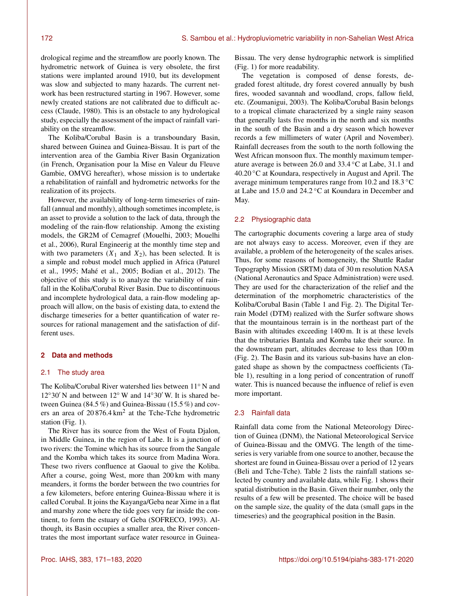drological regime and the streamflow are poorly known. The hydrometric network of Guinea is very obsolete, the first stations were implanted around 1910, but its development was slow and subjected to many hazards. The current network has been restructured starting in 1967. However, some newly created stations are not calibrated due to difficult access (Claude, 1980). This is an obstacle to any hydrological study, especially the assessment of the impact of rainfall variability on the streamflow.

The Koliba/Corubal Basin is a transboundary Basin, shared between Guinea and Guinea-Bissau. It is part of the intervention area of the Gambia River Basin Organization (in French, Organisation pour la Mise en Valeur du Fleuve Gambie, OMVG hereafter), whose mission is to undertake a rehabilitation of rainfall and hydrometric networks for the realization of its projects.

However, the availability of long-term timeseries of rainfall (annual and monthly), although sometimes incomplete, is an asset to provide a solution to the lack of data, through the modeling of the rain-flow relationship. Among the existing models, the GR2M of Cemagref (Mouelhi, 2003; Mouelhi et al., 2006), Rural Engineerig at the monthly time step and with two parameters  $(X_1$  and  $X_2)$ , has been selected. It is a simple and robust model much applied in Africa (Paturel et al., 1995; Mahé et al., 2005; Bodian et al., 2012). The objective of this study is to analyze the variability of rainfall in the Koliba/Corubal River Basin. Due to discontinuous and incomplete hydrological data, a rain-flow modeling approach will allow, on the basis of existing data, to extend the discharge timeseries for a better quantification of water resources for rational management and the satisfaction of different uses.

# **2 Data and methods**

## 2.1 The study area

The Koliba/Corubal River watershed lies between 11◦ N and  $12°30'$  N and between  $12°$  W and  $14°30'$  W. It is shared between Guinea (84.5 %) and Guinea-Bissau (15.5 %) and covers an area of  $20876.4 \text{ km}^2$  at the Tche-Tche hydrometric station (Fig. 1).

The River has its source from the West of Fouta Djalon, in Middle Guinea, in the region of Labe. It is a junction of two rivers: the Tomine which has its source from the Sangale and the Komba which takes its source from Madina Wora. These two rivers confluence at Gaoual to give the Koliba. After a course, going West, more than 200 km with many meanders, it forms the border between the two countries for a few kilometers, before entering Guinea-Bissau where it is called Corubal. It joins the Kayanga/Geba near Xime in a flat and marshy zone where the tide goes very far inside the continent, to form the estuary of Geba (SOFRECO, 1993). Although, its Basin occupies a smaller area, the River concentrates the most important surface water resource in Guinea-

Bissau. The very dense hydrographic network is simplified (Fig. 1) for more readability.

The vegetation is composed of dense forests, degraded forest altitude, dry forest covered annually by bush fires, wooded savannah and woodland, crops, fallow field, etc. (Zoumanigui, 2003). The Koliba/Corubal Basin belongs to a tropical climate characterized by a single rainy season that generally lasts five months in the north and six months in the south of the Basin and a dry season which however records a few millimeters of water (April and November). Rainfall decreases from the south to the north following the West African monsoon flux. The monthly maximum temperature average is between 26.0 and 33.4 ◦C at Labe, 31.1 and 40.20 ◦C at Koundara, respectively in August and April. The average minimum temperatures range from 10.2 and 18.3 ◦C at Labe and 15.0 and 24.2 ◦C at Koundara in December and May.

## 2.2 Physiographic data

The cartographic documents covering a large area of study are not always easy to access. Moreover, even if they are available, a problem of the heterogeneity of the scales arises. Thus, for some reasons of homogeneity, the Shuttle Radar Topography Mission (SRTM) data of 30 m resolution NASA (National Aeronautics and Space Administration) were used. They are used for the characterization of the relief and the determination of the morphometric characteristics of the Koliba/Corubal Basin (Table 1 and Fig. 2). The Digital Terrain Model (DTM) realized with the Surfer software shows that the mountainous terrain is in the northeast part of the Basin with altitudes exceeding 1400 m. It is at these levels that the tributaries Bantala and Komba take their source. In the downstream part, altitudes decrease to less than 100 m (Fig. 2). The Basin and its various sub-basins have an elongated shape as shown by the compactness coefficients (Table 1), resulting in a long period of concentration of runoff water. This is nuanced because the influence of relief is even more important.

## 2.3 Rainfall data

Rainfall data come from the National Meteorology Direction of Guinea (DNM), the National Meteorological Service of Guinea-Bissau and the OMVG. The length of the timeseries is very variable from one source to another, because the shortest are found in Guinea-Bissau over a period of 12 years (Beli and Tche-Tche). Table 2 lists the rainfall stations selected by country and available data, while Fig. 1 shows their spatial distribution in the Basin. Given their number, only the results of a few will be presented. The choice will be based on the sample size, the quality of the data (small gaps in the timeseries) and the geographical position in the Basin.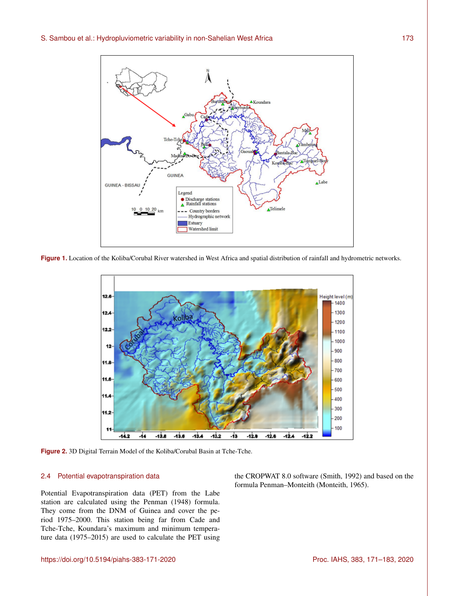

**Figure 1.** Location of the Koliba/Corubal River watershed in West Africa and spatial distribution of rainfall and hydrometric networks.



**Figure 2.** 3D Digital Terrain Model of the Koliba/Corubal Basin at Tche-Tche.

## 2.4 Potential evapotranspiration data

Potential Evapotranspiration data (PET) from the Labe station are calculated using the Penman (1948) formula. They come from the DNM of Guinea and cover the period 1975–2000. This station being far from Cade and Tche-Tche, Koundara's maximum and minimum temperature data (1975–2015) are used to calculate the PET using the CROPWAT 8.0 software (Smith, 1992) and based on the formula Penman–Monteith (Monteith, 1965).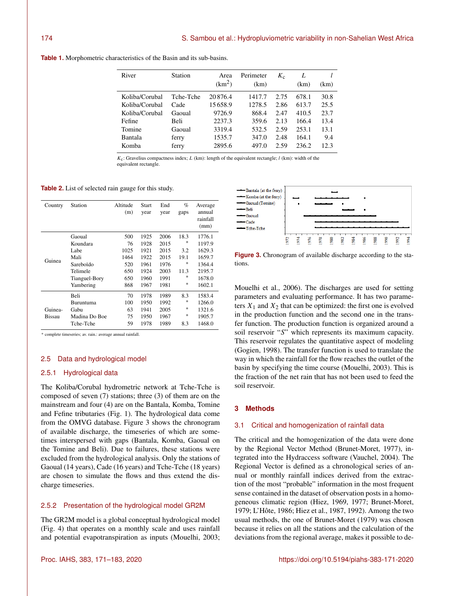|  |  |  |  |  |  |  |  |  | <b>Table 1.</b> Morphometric characteristics of the Basin and its sub-basins. |
|--|--|--|--|--|--|--|--|--|-------------------------------------------------------------------------------|
|--|--|--|--|--|--|--|--|--|-------------------------------------------------------------------------------|

| River          | Station   | Area<br>(km <sup>2</sup> ) | Perimeter<br>(km) | $K_{c}$ | L<br>(km) | (km) |
|----------------|-----------|----------------------------|-------------------|---------|-----------|------|
| Koliba/Corubal | Tche-Tche | 20876.4                    | 1417.7            | 2.75    | 678.1     | 30.8 |
| Koliba/Corubal | Cade      | 15658.9                    | 1278.5            | 2.86    | 613.7     | 25.5 |
| Koliba/Corubal | Gaoual    | 9726.9                     | 868.4             | 2.47    | 410.5     | 23.7 |
| Fefine         | Beli      | 2237.3                     | 359.6             | 2.13    | 166.4     | 13.4 |
| Tomine         | Gaoual    | 3319.4                     | 532.5             | 2.59    | 253.1     | 13.1 |
| Bantala        | ferry     | 1535.7                     | 347.0             | 2.48    | 164.1     | 9.4  |
| Komba          | ferry     | 2895.6                     | 497.0             | 2.59    | 236.2     | 12.3 |

 $K_c$ : Gravelius compactness index; L (km): length of the equivalent rectangle; l (km): width of the equivalent rectangle.

**Table 2.** List of selected rain gauge for this study.

| Country       | Station       | Altitude<br>(m) | <b>Start</b><br>year | End<br>year | $\%$<br>gaps | Average<br>annual<br>rainfall<br>(mm) |
|---------------|---------------|-----------------|----------------------|-------------|--------------|---------------------------------------|
|               | Gaoual        | 500             | 1925                 | 2006        | 18.3         | 1776.1                                |
|               | Koundara      | 76              | 1928                 | 2015        | $\ast$       | 1197.9                                |
|               | Labe          | 1025            | 1921                 | 2015        | 3.2          | 1629.3                                |
| Guinea        | Mali          | 1464            | 1922                 | 2015        | 19.1         | 1659.7                                |
|               | Sareboïdo     | 520             | 1961                 | 1976        | *            | 1364.4                                |
|               | Telimele      | 650             | 1924                 | 2003        | 11.3         | 2195.7                                |
|               | Tianguel-Bory | 650             | 1960                 | 1991        | *            | 1678.0                                |
|               | Yambering     | 868             | 1967                 | 1981        | $\ast$       | 1602.1                                |
|               | <b>Beli</b>   | 70              | 1978                 | 1989        | 8.3          | 1583.4                                |
|               | Buruntuma     | 100             | 1950                 | 1992        | *            | 1266.0                                |
| Guinea-       | Gabu          | 63              | 1941                 | 2005        | *            | 1321.6                                |
| <b>Bissau</b> | Madina Do Boe | 75              | 1950                 | 1967        | *            | 1905.7                                |
|               | Tche-Tche     | 59              | 1978                 | 1989        | 8.3          | 1468.0                                |

∗ complete timeseries; av. rain.: average annual rainfall.

#### 2.5 Data and hydrological model

# 2.5.1 Hydrological data

The Koliba/Corubal hydrometric network at Tche-Tche is composed of seven (7) stations; three (3) of them are on the mainstream and four (4) are on the Bantala, Komba, Tomine and Fefine tributaries (Fig. 1). The hydrological data come from the OMVG database. Figure 3 shows the chronogram of available discharge, the timeseries of which are sometimes interspersed with gaps (Bantala, Komba, Gaoual on the Tomine and Beli). Due to failures, these stations were excluded from the hydrological analysis. Only the stations of Gaoual (14 years), Cade (16 years) and Tche-Tche (18 years) are chosen to simulate the flows and thus extend the discharge timeseries.

# 2.5.2 Presentation of the hydrological model GR2M

The GR2M model is a global conceptual hydrological model (Fig. 4) that operates on a monthly scale and uses rainfall and potential evapotranspiration as inputs (Mouelhi, 2003;



**Figure 3.** Chronogram of available discharge according to the stations.

Mouelhi et al., 2006). The discharges are used for setting parameters and evaluating performance. It has two parameters  $X_1$  and  $X_2$  that can be optimized: the first one is evolved in the production function and the second one in the transfer function. The production function is organized around a soil reservoir "S" which represents its maximum capacity. This reservoir regulates the quantitative aspect of modeling (Gogien, 1998). The transfer function is used to translate the way in which the rainfall for the flow reaches the outlet of the basin by specifying the time course (Mouelhi, 2003). This is the fraction of the net rain that has not been used to feed the soil reservoir.

# **3 Methods**

#### 3.1 Critical and homogenization of rainfall data

The critical and the homogenization of the data were done by the Regional Vector Method (Brunet-Moret, 1977), integrated into the Hydraccess software (Vauchel, 2004). The Regional Vector is defined as a chronological series of annual or monthly rainfall indices derived from the extraction of the most "probable" information in the most frequent sense contained in the dataset of observation posts in a homogeneous climatic region (Hiez, 1969, 1977; Brunet-Moret, 1979; L'Hôte, 1986; Hiez et al., 1987, 1992). Among the two usual methods, the one of Brunet-Moret (1979) was chosen because it relies on all the stations and the calculation of the deviations from the regional average, makes it possible to de-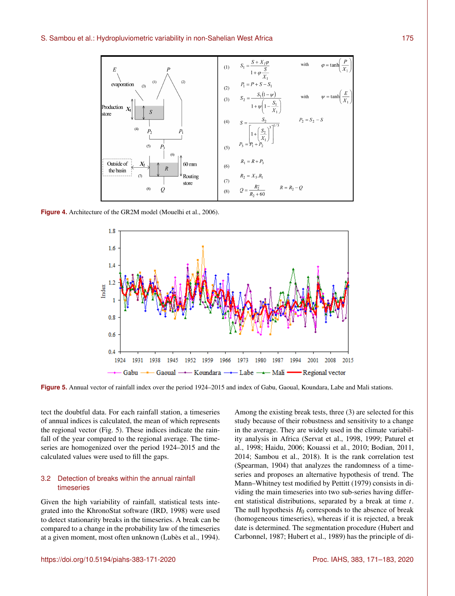

**Figure 4.** Architecture of the GR2M model (Mouelhi et al., 2006).



**Figure 5.** Annual vector of rainfall index over the period 1924–2015 and index of Gabu, Gaoual, Koundara, Labe and Mali stations.

tect the doubtful data. For each rainfall station, a timeseries of annual indices is calculated, the mean of which represents the regional vector (Fig. 5). These indices indicate the rainfall of the year compared to the regional average. The timeseries are homogenized over the period 1924–2015 and the calculated values were used to fill the gaps.

# 3.2 Detection of breaks within the annual rainfall timeseries

Given the high variability of rainfall, statistical tests integrated into the KhronoStat software (IRD, 1998) were used to detect stationarity breaks in the timeseries. A break can be compared to a change in the probability law of the timeseries at a given moment, most often unknown (Lubès et al., 1994).

Among the existing break tests, three (3) are selected for this study because of their robustness and sensitivity to a change in the average. They are widely used in the climate variability analysis in Africa (Servat et al., 1998, 1999; Paturel et al., 1998; Haidu, 2006; Kouassi et al., 2010; Bodian, 2011, 2014; Sambou et al., 2018). It is the rank correlation test (Spearman, 1904) that analyzes the randomness of a timeseries and proposes an alternative hypothesis of trend. The Mann–Whitney test modified by Pettitt (1979) consists in dividing the main timeseries into two sub-series having different statistical distributions, separated by a break at time  $t$ . The null hypothesis  $H_0$  corresponds to the absence of break (homogeneous timeseries), whereas if it is rejected, a break date is determined. The segmentation procedure (Hubert and Carbonnel, 1987; Hubert et al., 1989) has the principle of di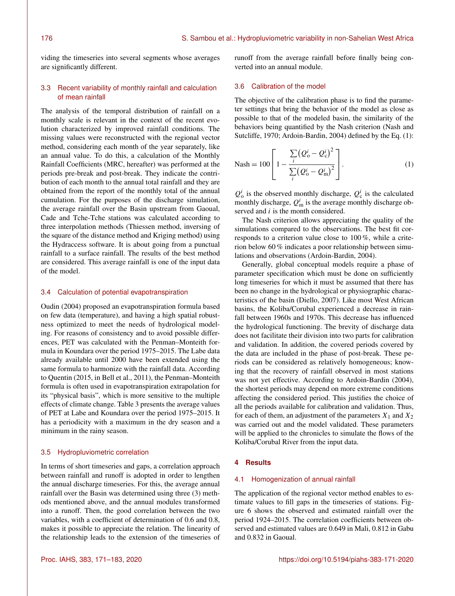viding the timeseries into several segments whose averages are significantly different.

# 3.3 Recent variability of monthly rainfall and calculation of mean rainfall

The analysis of the temporal distribution of rainfall on a monthly scale is relevant in the context of the recent evolution characterized by improved rainfall conditions. The missing values were reconstructed with the regional vector method, considering each month of the year separately, like an annual value. To do this, a calculation of the Monthly Rainfall Coefficients (MRC, hereafter) was performed at the periods pre-break and post-break. They indicate the contribution of each month to the annual total rainfall and they are obtained from the report of the monthly total of the annual cumulation. For the purposes of the discharge simulation, the average rainfall over the Basin upstream from Gaoual, Cade and Tche-Tche stations was calculated according to three interpolation methods (Thiessen method, inversing of the square of the distance method and Kriging method) using the Hydraccess software. It is about going from a punctual rainfall to a surface rainfall. The results of the best method are considered. This average rainfall is one of the input data of the model.

# 3.4 Calculation of potential evapotranspiration

Oudin (2004) proposed an evapotranspiration formula based on few data (temperature), and having a high spatial robustness optimized to meet the needs of hydrological modeling. For reasons of consistency and to avoid possible differences, PET was calculated with the Penman–Monteith formula in Koundara over the period 1975–2015. The Labe data already available until 2000 have been extended using the same formula to harmonize with the rainfall data. According to Quentin (2015, in Bell et al., 2011), the Penman–Monteith formula is often used in evapotranspiration extrapolation for its "physical basis", which is more sensitive to the multiple effects of climate change. Table 3 presents the average values of PET at Labe and Koundara over the period 1975–2015. It has a periodicity with a maximum in the dry season and a minimum in the rainy season.

## 3.5 Hydropluviometric correlation

In terms of short timeseries and gaps, a correlation approach between rainfall and runoff is adopted in order to lengthen the annual discharge timeseries. For this, the average annual rainfall over the Basin was determined using three (3) methods mentioned above, and the annual modules transformed into a runoff. Then, the good correlation between the two variables, with a coefficient of determination of 0.6 and 0.8, makes it possible to appreciate the relation. The linearity of the relationship leads to the extension of the timeseries of runoff from the average rainfall before finally being converted into an annual module.

# 3.6 Calibration of the model

The objective of the calibration phase is to find the parameter settings that bring the behavior of the model as close as possible to that of the modeled basin, the similarity of the behaviors being quantified by the Nash criterion (Nash and Sutcliffe, 1970; Ardoin-Bardin, 2004) defined by the Eq. (1):

Nash = 100 
$$
\left[1 - \frac{\sum_{i} (Q_o^i - Q_c^i)^2}{\sum_{i} (Q_o^i - Q_m^i)^2}\right].
$$
 (1)

 $Q_0^i$  is the observed monthly discharge,  $Q_c^i$  is the calculated monthly discharge,  $Q_{\text{m}}^i$  is the average monthly discharge observed and  $i$  is the month considered.

The Nash criterion allows appreciating the quality of the simulations compared to the observations. The best fit corresponds to a criterion value close to 100 %, while a criterion below 60 % indicates a poor relationship between simulations and observations (Ardoin-Bardin, 2004).

Generally, global conceptual models require a phase of parameter specification which must be done on sufficiently long timeseries for which it must be assumed that there has been no change in the hydrological or physiographic characteristics of the basin (Diello, 2007). Like most West African basins, the Koliba/Corubal experienced a decrease in rainfall between 1960s and 1970s. This decrease has influenced the hydrological functioning. The brevity of discharge data does not facilitate their division into two parts for calibration and validation. In addition, the covered periods covered by the data are included in the phase of post-break. These periods can be considered as relatively homogeneous; knowing that the recovery of rainfall observed in most stations was not yet effective. According to Ardoin-Bardin (2004), the shortest periods may depend on more extreme conditions affecting the considered period. This justifies the choice of all the periods available for calibration and validation. Thus, for each of them, an adjustment of the parameters  $X_1$  and  $X_2$ was carried out and the model validated. These parameters will be applied to the chronicles to simulate the flows of the Koliba/Corubal River from the input data.

## **4 Results**

## 4.1 Homogenization of annual rainfall

The application of the regional vector method enables to estimate values to fill gaps in the timeseries of stations. Figure 6 shows the observed and estimated rainfall over the period 1924–2015. The correlation coefficients between observed and estimated values are 0.649 in Mali, 0.812 in Gabu and 0.832 in Gaoual.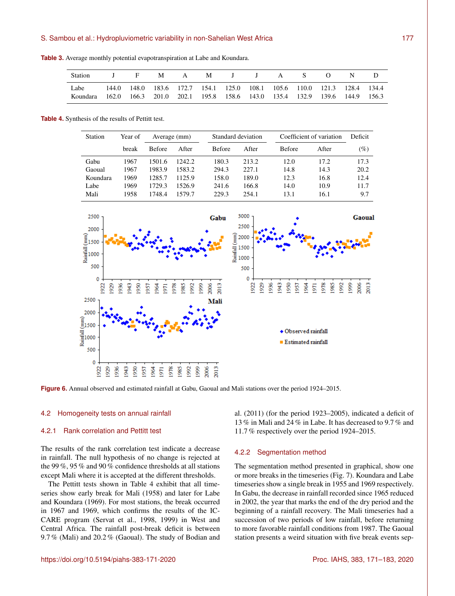**Table 3.** Average monthly potential evapotranspiration at Labe and Koundara.

| Station                                                                                  | J F |  | M A M J J A S O                                                         |  |  | N D |  |
|------------------------------------------------------------------------------------------|-----|--|-------------------------------------------------------------------------|--|--|-----|--|
| Labe<br>Koundara 162.0 166.3 201.0 202.1 195.8 158.6 143.0 135.4 132.9 139.6 144.9 156.3 |     |  | 144.0 148.0 183.6 172.7 154.1 125.0 108.1 105.6 110.0 121.3 128.4 134.4 |  |  |     |  |

**Table 4.** Synthesis of the results of Pettitt test.

| Station  | Year of | Average (mm)  |        |               | Standard deviation |               | Coefficient of variation |      |  |
|----------|---------|---------------|--------|---------------|--------------------|---------------|--------------------------|------|--|
|          | break   | <b>Before</b> | After  | <b>Before</b> | After              | <b>Before</b> | After                    | (%)  |  |
| Gabu     | 1967    | 1501.6        | 1242.2 | 180.3         | 213.2              | 12.0          | 17.2                     | 17.3 |  |
| Gaoual   | 1967    | 1983.9        | 1583.2 | 294.3         | 227.1              | 14.8          | 14.3                     | 20.2 |  |
| Koundara | 1969    | 1285.7        | 1125.9 | 158.0         | 189.0              | 12.3          | 16.8                     | 12.4 |  |
| Labe     | 1969    | 1729.3        | 1526.9 | 241.6         | 166.8              | 14.0          | 10.9                     | 11.7 |  |
| Mali     | 1958    | 1748.4        | 1579 7 | 229.3         | 254.1              | 13.1          | 16.1                     | 9.7  |  |



**Figure 6.** Annual observed and estimated rainfall at Gabu, Gaoual and Mali stations over the period 1924–2015.

## 4.2 Homogeneity tests on annual rainfall

## 4.2.1 Rank correlation and Pettitt test

The results of the rank correlation test indicate a decrease in rainfall. The null hypothesis of no change is rejected at the 99 %, 95 % and 90 % confidence thresholds at all stations except Mali where it is accepted at the different thresholds.

The Pettitt tests shown in Table 4 exhibit that all timeseries show early break for Mali (1958) and later for Labe and Koundara (1969). For most stations, the break occurred in 1967 and 1969, which confirms the results of the IC-CARE program (Servat et al., 1998, 1999) in West and Central Africa. The rainfall post-break deficit is between 9.7 % (Mali) and 20.2 % (Gaoual). The study of Bodian and al. (2011) (for the period 1923–2005), indicated a deficit of 13 % in Mali and 24 % in Labe. It has decreased to 9.7 % and 11.7 % respectively over the period 1924–2015.

## 4.2.2 Segmentation method

The segmentation method presented in graphical, show one or more breaks in the timeseries (Fig. 7). Koundara and Labe timeseries show a single break in 1955 and 1969 respectively. In Gabu, the decrease in rainfall recorded since 1965 reduced in 2002, the year that marks the end of the dry period and the beginning of a rainfall recovery. The Mali timeseries had a succession of two periods of low rainfall, before returning to more favorable rainfall conditions from 1987. The Gaoual station presents a weird situation with five break events sep-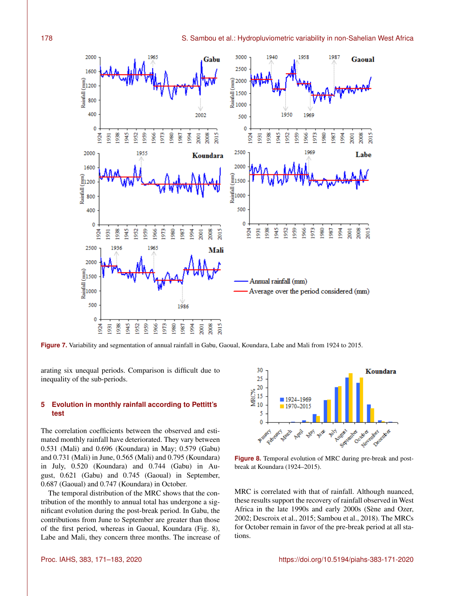

**Figure 7.** Variability and segmentation of annual rainfall in Gabu, Gaoual, Koundara, Labe and Mali from 1924 to 2015.

arating six unequal periods. Comparison is difficult due to inequality of the sub-periods.

# **5 Evolution in monthly rainfall according to Pettitt's test**

The correlation coefficients between the observed and estimated monthly rainfall have deteriorated. They vary between 0.531 (Mali) and 0.696 (Koundara) in May; 0.579 (Gabu) and 0.731 (Mali) in June, 0.565 (Mali) and 0.795 (Koundara) in July, 0.520 (Koundara) and 0.744 (Gabu) in August, 0.621 (Gabu) and 0.745 (Gaoual) in September, 0.687 (Gaoual) and 0.747 (Koundara) in October.

The temporal distribution of the MRC shows that the contribution of the monthly to annual total has undergone a significant evolution during the post-break period. In Gabu, the contributions from June to September are greater than those of the first period, whereas in Gaoual, Koundara (Fig. 8), Labe and Mali, they concern three months. The increase of



**Figure 8.** Temporal evolution of MRC during pre-break and postbreak at Koundara (1924–2015).

MRC is correlated with that of rainfall. Although nuanced, these results support the recovery of rainfall observed in West Africa in the late 1990s and early 2000s (Sène and Ozer, 2002; Descroix et al., 2015; Sambou et al., 2018). The MRCs for October remain in favor of the pre-break period at all stations.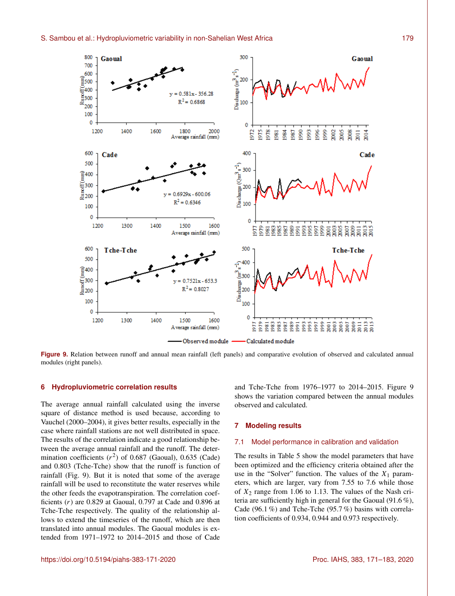

**Figure 9.** Relation between runoff and annual mean rainfall (left panels) and comparative evolution of observed and calculated annual modules (right panels).

## **6 Hydropluviometric correlation results**

The average annual rainfall calculated using the inverse square of distance method is used because, according to Vauchel (2000–2004), it gives better results, especially in the case where rainfall stations are not well distributed in space. The results of the correlation indicate a good relationship between the average annual rainfall and the runoff. The determination coefficients  $(r^2)$  of 0.687 (Gaoual), 0.635 (Cade) and 0.803 (Tche-Tche) show that the runoff is function of rainfall (Fig. 9). But it is noted that some of the average rainfall will be used to reconstitute the water reserves while the other feeds the evapotranspiration. The correlation coefficients  $(r)$  are 0.829 at Gaoual, 0.797 at Cade and 0.896 at Tche-Tche respectively. The quality of the relationship allows to extend the timeseries of the runoff, which are then translated into annual modules. The Gaoual modules is extended from 1971–1972 to 2014–2015 and those of Cade and Tche-Tche from 1976–1977 to 2014–2015. Figure 9 shows the variation compared between the annual modules observed and calculated.

## **7 Modeling results**

# 7.1 Model performance in calibration and validation

The results in Table 5 show the model parameters that have been optimized and the efficiency criteria obtained after the use in the "Solver" function. The values of the  $X_1$  parameters, which are larger, vary from 7.55 to 7.6 while those of  $X_2$  range from 1.06 to 1.13. The values of the Nash criteria are sufficiently high in general for the Gaoual (91.6 %), Cade (96.1 %) and Tche-Tche (95.7 %) basins with correlation coefficients of 0.934, 0.944 and 0.973 respectively.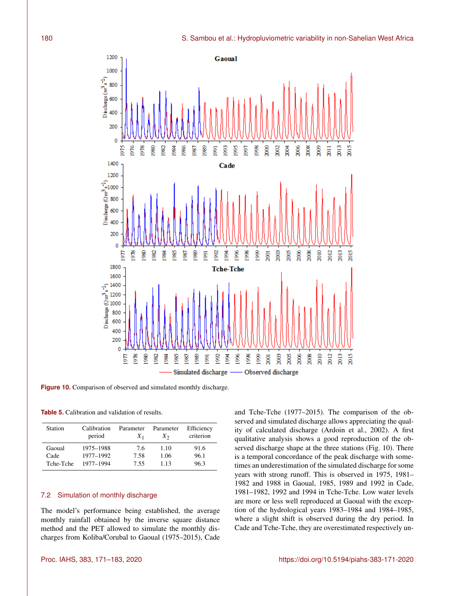

Figure 10. Comparison of observed and simulated monthly discharge.

**Table 5.** Calibration and validation of results.

| Station   | Calibration<br>period | Parameter<br>$X_1$ | Parameter<br>$X_{2}$ | Efficiency<br>criterion |
|-----------|-----------------------|--------------------|----------------------|-------------------------|
| Gaoual    | 1975-1988             | 7.6                | 1.10                 | 91.6                    |
| Cade      | 1977-1992             | 7.58               | 1.06                 | 96.1                    |
| Tche-Tche | 1977-1994             | 7.55               | 1 1 3                | 96.3                    |

# 7.2 Simulation of monthly discharge

The model's performance being established, the average monthly rainfall obtained by the inverse square distance method and the PET allowed to simulate the monthly discharges from Koliba/Corubal to Gaoual (1975–2015), Cade and Tche-Tche (1977–2015). The comparison of the observed and simulated discharge allows appreciating the quality of calculated discharge (Ardoin et al., 2002). A first qualitative analysis shows a good reproduction of the observed discharge shape at the three stations (Fig. 10). There is a temporal concordance of the peak discharge with sometimes an underestimation of the simulated discharge for some years with strong runoff. This is observed in 1975, 1981– 1982 and 1988 in Gaoual, 1985, 1989 and 1992 in Cade, 1981–1982, 1992 and 1994 in Tche-Tche. Low water levels are more or less well reproduced at Gaoual with the exception of the hydrological years 1983–1984 and 1984–1985, where a slight shift is observed during the dry period. In Cade and Tche-Tche, they are overestimated respectively un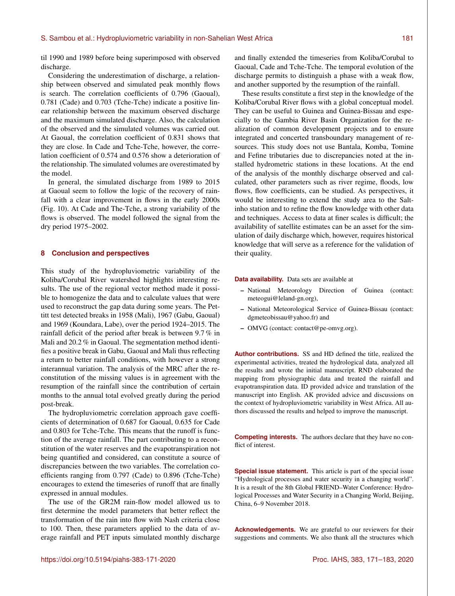til 1990 and 1989 before being superimposed with observed discharge.

Considering the underestimation of discharge, a relationship between observed and simulated peak monthly flows is search. The correlation coefficients of 0.796 (Gaoual), 0.781 (Cade) and 0.703 (Tche-Tche) indicate a positive linear relationship between the maximum observed discharge and the maximum simulated discharge. Also, the calculation of the observed and the simulated volumes was carried out. At Gaoual, the correlation coefficient of 0.831 shows that they are close. In Cade and Tche-Tche, however, the correlation coefficient of 0.574 and 0.576 show a deterioration of the relationship. The simulated volumes are overestimated by the model.

In general, the simulated discharge from 1989 to 2015 at Gaoual seem to follow the logic of the recovery of rainfall with a clear improvement in flows in the early 2000s (Fig. 10). At Cade and The-Tche, a strong variability of the flows is observed. The model followed the signal from the dry period 1975–2002.

# **8 Conclusion and perspectives**

This study of the hydropluviometric variability of the Koliba/Corubal River watershed highlights interesting results. The use of the regional vector method made it possible to homogenize the data and to calculate values that were used to reconstruct the gap data during some years. The Pettitt test detected breaks in 1958 (Mali), 1967 (Gabu, Gaoual) and 1969 (Koundara, Labe), over the period 1924–2015. The rainfall deficit of the period after break is between 9.7 % in Mali and 20.2 % in Gaoual. The segmentation method identifies a positive break in Gabu, Gaoual and Mali thus reflecting a return to better rainfall conditions, with however a strong interannual variation. The analysis of the MRC after the reconstitution of the missing values is in agreement with the resumption of the rainfall since the contribution of certain months to the annual total evolved greatly during the period post-break.

The hydropluviometric correlation approach gave coefficients of determination of 0.687 for Gaoual, 0.635 for Cade and 0.803 for Tche-Tche. This means that the runoff is function of the average rainfall. The part contributing to a reconstitution of the water reserves and the evapotranspiration not being quantified and considered, can constitute a source of discrepancies between the two variables. The correlation coefficients ranging from 0.797 (Cade) to 0.896 (Tche-Tche) encourages to extend the timeseries of runoff that are finally expressed in annual modules.

The use of the GR2M rain-flow model allowed us to first determine the model parameters that better reflect the transformation of the rain into flow with Nash criteria close to 100. Then, these parameters applied to the data of average rainfall and PET inputs simulated monthly discharge

and finally extended the timeseries from Koliba/Corubal to Gaoual, Cade and Tche-Tche. The temporal evolution of the discharge permits to distinguish a phase with a weak flow, and another supported by the resumption of the rainfall.

These results constitute a first step in the knowledge of the Koliba/Corubal River flows with a global conceptual model. They can be useful to Guinea and Guinea-Bissau and especially to the Gambia River Basin Organization for the realization of common development projects and to ensure integrated and concerted transboundary management of resources. This study does not use Bantala, Komba, Tomine and Fefine tributaries due to discrepancies noted at the installed hydrometric stations in these locations. At the end of the analysis of the monthly discharge observed and calculated, other parameters such as river regime, floods, low flows, flow coefficients, can be studied. As perspectives, it would be interesting to extend the study area to the Saltinho station and to refine the flow knowledge with other data and techniques. Access to data at finer scales is difficult; the availability of satellite estimates can be an asset for the simulation of daily discharge which, however, requires historical knowledge that will serve as a reference for the validation of their quality.

# **Data availability.** Data sets are available at

- National Meteorology Direction of Guinea (contact: meteogui@leland-gn.org),
- National Meteorological Service of Guinea-Bissau (contact: dgmeteobissau@yahoo.fr) and
- OMVG (contact: contact@pe-omvg.org).

**Author contributions.** SS and HD defined the title, realized the experimental activities, treated the hydrological data, analyzed all the results and wrote the initial manuscript. RND elaborated the mapping from physiographic data and treated the rainfall and evapotranspiration data. ID provided advice and translation of the manuscript into English. AK provided advice and discussions on the context of hydropluviometric variability in West Africa. All authors discussed the results and helped to improve the manuscript.

**Competing interests.** The authors declare that they have no conflict of interest.

**Special issue statement.** This article is part of the special issue "Hydrological processes and water security in a changing world". It is a result of the 8th Global FRIEND–Water Conference: Hydrological Processes and Water Security in a Changing World, Beijing, China, 6–9 November 2018.

**Acknowledgements.** We are grateful to our reviewers for their suggestions and comments. We also thank all the structures which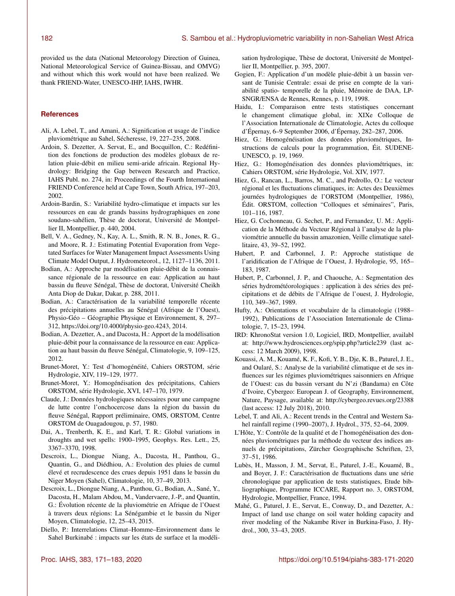provided us the data (National Meteorology Direction of Guinea, National Meteorological Service of Guinea-Bissau, and OMVG) and without which this work would not have been realized. We thank FRIEND-Water, UNESCO-IHP, IAHS, IWHR.

## **References**

- Ali, A. Lebel, T., and Amani, A.: Signification et usage de l'indice pluviométrique au Sahel, Sécheresse, 19, 227–235, 2008.
- Ardoin, S. Dezetter, A. Servat, E., and Bocquillon, C.: Redéfinition des fonctions de production des modèles globaux de relation pluie-débit en milieu semi-aride africain. Regional Hydrology: Bridging the Gap between Research and Practice, IAHS Publ. no. 274, in: Proceedings of the Fourth International FRIEND Conference held at Cape Town, South Africa, 197–203, 2002.
- Ardoin-Bardin, S.: Variabilité hydro-climatique et impacts sur les ressources en eau de grands bassins hydrographiques en zone soudano-sahélien, Thèse de doctorat, Université de Montpellier II, Montpellier, p. 440, 2004.
- Bell, V. A., Gedney, N., Kay, A. L., Smith, R. N. B., Jones, R. G., and Moore, R. J.: Estimating Potential Evaporation from Vegetated Surfaces for Water Management Impact Assessments Using Climate Model Output, J. Hydrometeorol., 12, 1127–1136, 2011.
- Bodian, A.: Approche par modélisation pluie-débit de la connaissance régionale de la ressource en eau: Application au haut bassin du fleuve Sénégal, Thèse de doctorat, Université Cheikh Anta Diop de Dakar, Dakar, p. 288, 2011.
- Bodian, A.: Caractérisation de la variabilité temporelle récente des précipitations annuelles au Sénégal (Afrique de l'Ouest), Physio-Géo – Géographie Physique et Environnement, 8, 297– 312, https://doi.org[/10.4000/physio-geo.4243,](https://doi.org/10.4000/physio-geo.4243) 2014.
- Bodian, A. Dezetter, A., and Dacosta, H.: Apport de la modélisation pluie-débit pour la connaissance de la ressource en eau: Application au haut bassin du fleuve Sénégal, Climatologie, 9, 109–125, 2012.
- Brunet-Moret, Y.: Test d'homogénéité, Cahiers ORSTOM, série Hydrologie, XIV, 119–129, 1977.
- Brunet-Moret, Y.: Homogénéisation des précipitations, Cahiers ORSTOM, série Hydrologie, XVI, 147–170, 1979.
- Claude, J.: Données hydrologiques nécessaires pour une campagne de lutte contre l'onchocercose dans la région du bassin du fleuve Sénégal, Rapport préliminaire, OMS, ORSTOM, Centre ORSTOM de Ouagadougou, p. 57, 1980.
- Dai, A., Trenberth, K. E., and Karl, T. R.: Global variations in droughts and wet spells: 1900–1995, Geophys. Res. Lett., 25, 3367–3370, 1998.
- Descroix, L., Diongue Niang, A., Dacosta, H., Panthou, G., Quantin, G., and Diédhiou, A.: Evolution des pluies de cumul élevé et recrudescence des crues depuis 1951 dans le bassin du Niger Moyen (Sahel), Climatologie, 10, 37–49, 2013.
- Descroix, L., Diongue Niang, A., Panthou, G., Bodian, A., Sané, Y., Dacosta, H., Malam Abdou, M., Vandervaere, J.-P., and Quantin, G.: Évolution récente de la pluviométrie en Afrique de l'Ouest à travers deux régions: La Sénégambie et le bassin du Niger Moyen, Climatologie, 12, 25–43, 2015.
- Diello, P.: Interrelations Climat–Homme–Environnement dans le Sahel Burkinabé : impacts sur les états de surface et la modéli-

sation hydrologique, Thèse de doctorat, Université de Montpellier II, Montpellier, p. 395, 2007.

- Gogien, F.: Application d'un modèle pluie-débit à un bassin versant de Tunisie Centrale: essai de prise en compte de la variabilité spatio- temporelle de la pluie, Mémoire de DAA, LP-SNGR/ENSA de Rennes, Rennes, p. 119, 1998.
- Haidu, I.: Comparaison entre tests statistiques concernant le changement climatique global, in: XIXe Colloque de l'Association Internationale de Climatologie, Actes du colloque d'Épernay, 6–9 September 2006, d'Épernay, 282–287, 2006.
- Hiez, G.: Homogénéisation des données pluviométriques, Instructions de calculs pour la programmation, Éit. SUDENE-UNESCO, p. 19, 1969.
- Hiez, G.: Homogénéisation des données pluviométriques, in: Cahiers ORSTOM, série Hydrologie, Vol. XIV, 1977.
- Hiez, G., Rancan, L., Barros, M. C., and Pedrollo, O.: Le vecteur régional et les fluctuations climatiques, in: Actes des Deuxièmes journées hydrologiques de l'ORSTOM (Montpellier, 1986), Édit. ORSTOM, collection "Colloques et séminaires", Paris, 101–116, 1987.
- Hiez, G. Cochonneau, G. Sechet, P., and Fernandez, U. M.: Application de la Méthode du Vecteur Régional à l'analyse de la pluviométrie annuelle du bassin amazonien, Veille climatique satellitaire, 43, 39–52, 1992.
- Hubert, P. and Carbonnel, J. P.: Approche statistique de l'aridification de l'Afrique de l'Ouest, J. Hydrologie, 95, 165– 183, 1987.
- Hubert, P., Carbonnel, J. P., and Chaouche, A.: Segmentation des séries hydrométéorologiques : application à des séries des précipitations et de débits de l'Afrique de l'ouest, J. Hydrologie, 110, 349–367, 1989.
- Hufty, A.: Orientations et vocabulaire de la climatologie (1988– 1992), Publications de l'Association Internationale de Climatologie, 7, 15–23, 1994.
- IRD: KhronoStat version 1.0, Logiciel, IRD, Montpellier, availabl at: <http://www.hydrosciences.org/spip.php?article239> (last access: 12 March 2009), 1998.
- Kouassi, A. M., Kouamé, K. F., Kofi, Y. B., Dje, K. B., Paturel, J. E., and Oularé, S.: Analyse de la variabilité climatique et de ses influences sur les régimes pluviométriques saisonniers en Afrique de l'Ouest: cas du bassin versant du N'zi (Bandama) en Côte d'Ivoire, Cybergeo: European J. of Geography, Environnement, Nature, Paysage, available at: <http://cybergeo.revues.org/23388> (last access: 12 July 2018), 2010.
- Lebel, T. and Ali, A.: Recent trends in the Central and Western Sahel rainfall regime (1990–2007), J. Hydrol., 375, 52–64, 2009.
- L'Hôte, Y.: Contrôle de la qualité et de l'homogénéisation des données pluviométriques par la méthode du vecteur des indices annuels de précipitations, Zürcher Geographische Schriften, 23, 37–51, 1986.
- Lubès, H., Masson, J. M., Servat, E., Paturel, J.-E., Kouamé, B., and Boyer, J. F.: Caractérisation de fluctuations dans une série chronologique par application de tests statistiques, Etude bibliographique, Programme ICCARE, Rapport no. 3, ORSTOM, Hydrologie, Montpellier, France, 1994.
- Mahé, G., Paturel, J. E., Servat, E., Conway, D., and Dezetter, A.: Impact of land use change on soil water holding capacity and river modeling of the Nakambe River in Burkina-Faso, J. Hydrol., 300, 33–43, 2005.